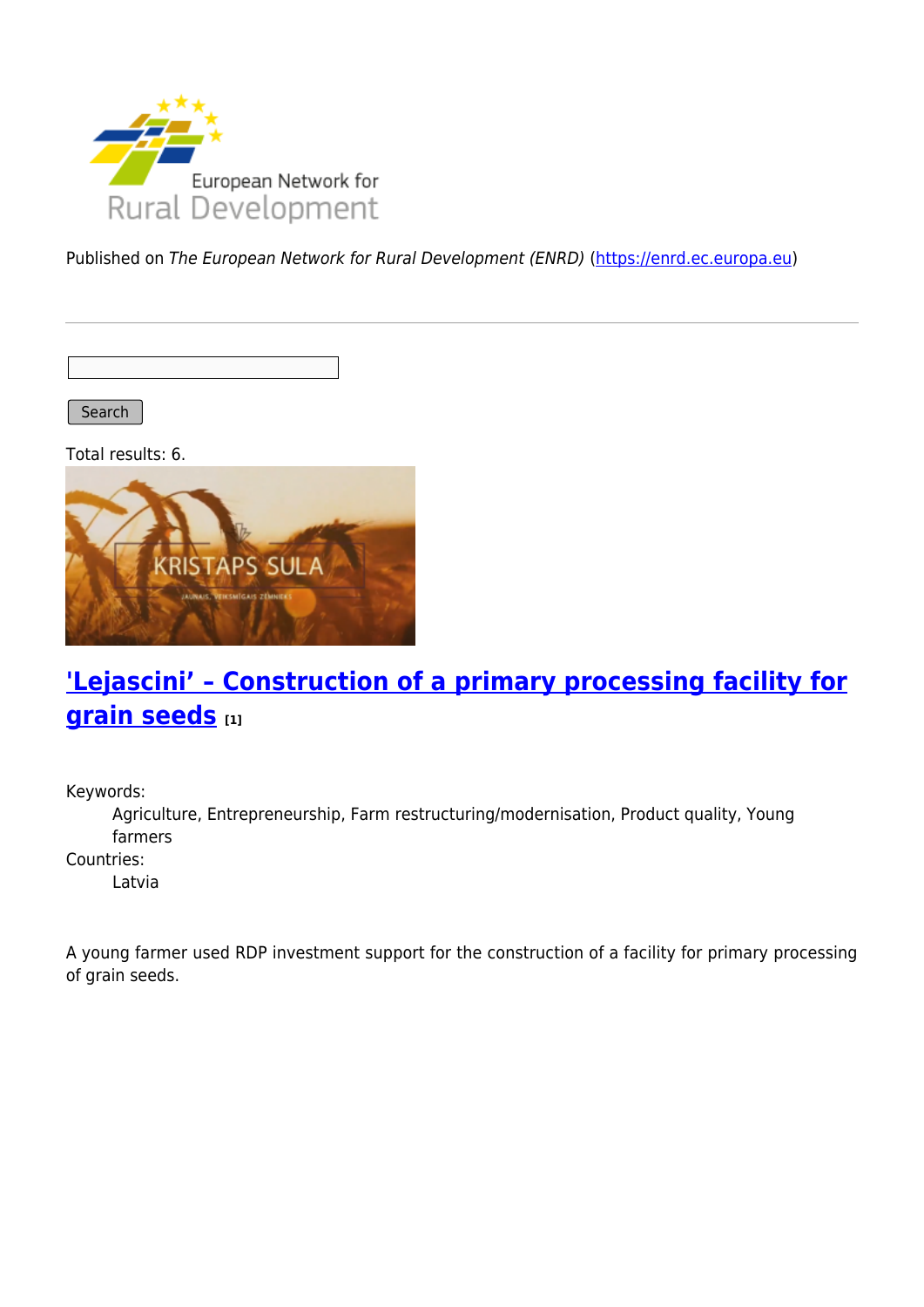

Published on The European Network for Rural Development (ENRD) [\(https://enrd.ec.europa.eu](https://enrd.ec.europa.eu))

Search

Total results: 6.



# **['Lejascini' – Construction of a primary processing facility for](https://enrd.ec.europa.eu/projects-practice/lejascini-construction-primary-processing-facility-grain-seeds_en) [grain seeds](https://enrd.ec.europa.eu/projects-practice/lejascini-construction-primary-processing-facility-grain-seeds_en) [1]**

Keywords:

Agriculture, Entrepreneurship, Farm restructuring/modernisation, Product quality, Young farmers

Countries:

Latvia

A young farmer used RDP investment support for the construction of a facility for primary processing of grain seeds.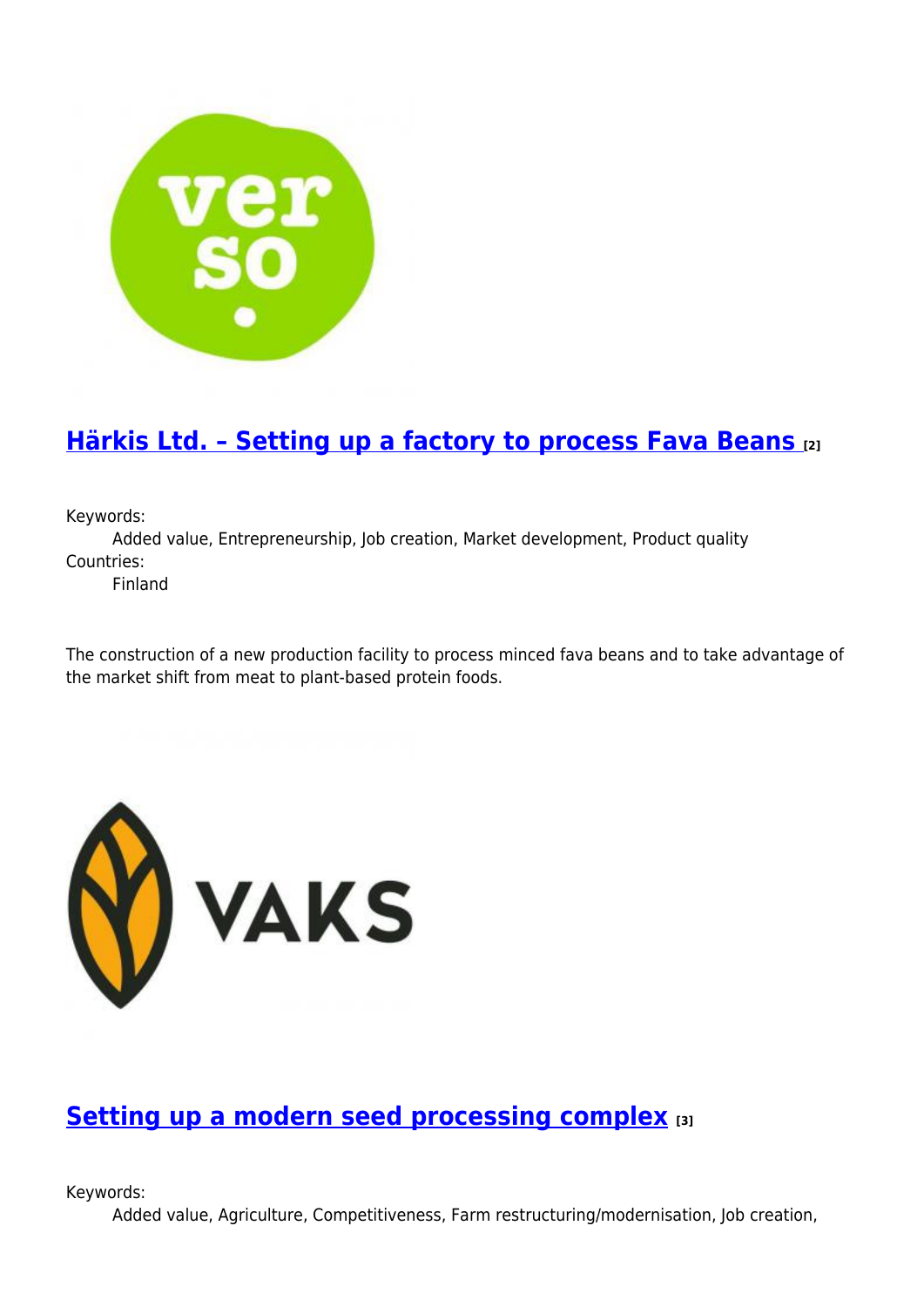

## **[Härkis Ltd. – Setting up a factory to process Fava Beans](https://enrd.ec.europa.eu/projects-practice/harkis-ltd-setting-factory-process-fava-beans_en) [2]**

Keywords:

Added value, Entrepreneurship, Job creation, Market development, Product quality Countries:

Finland

The construction of a new production facility to process minced fava beans and to take advantage of the market shift from meat to plant-based protein foods.



### **[Setting up a modern seed processing complex](https://enrd.ec.europa.eu/projects-practice/setting-modern-seed-processing-complex_en) [3]**

Keywords:

Added value, Agriculture, Competitiveness, Farm restructuring/modernisation, Job creation,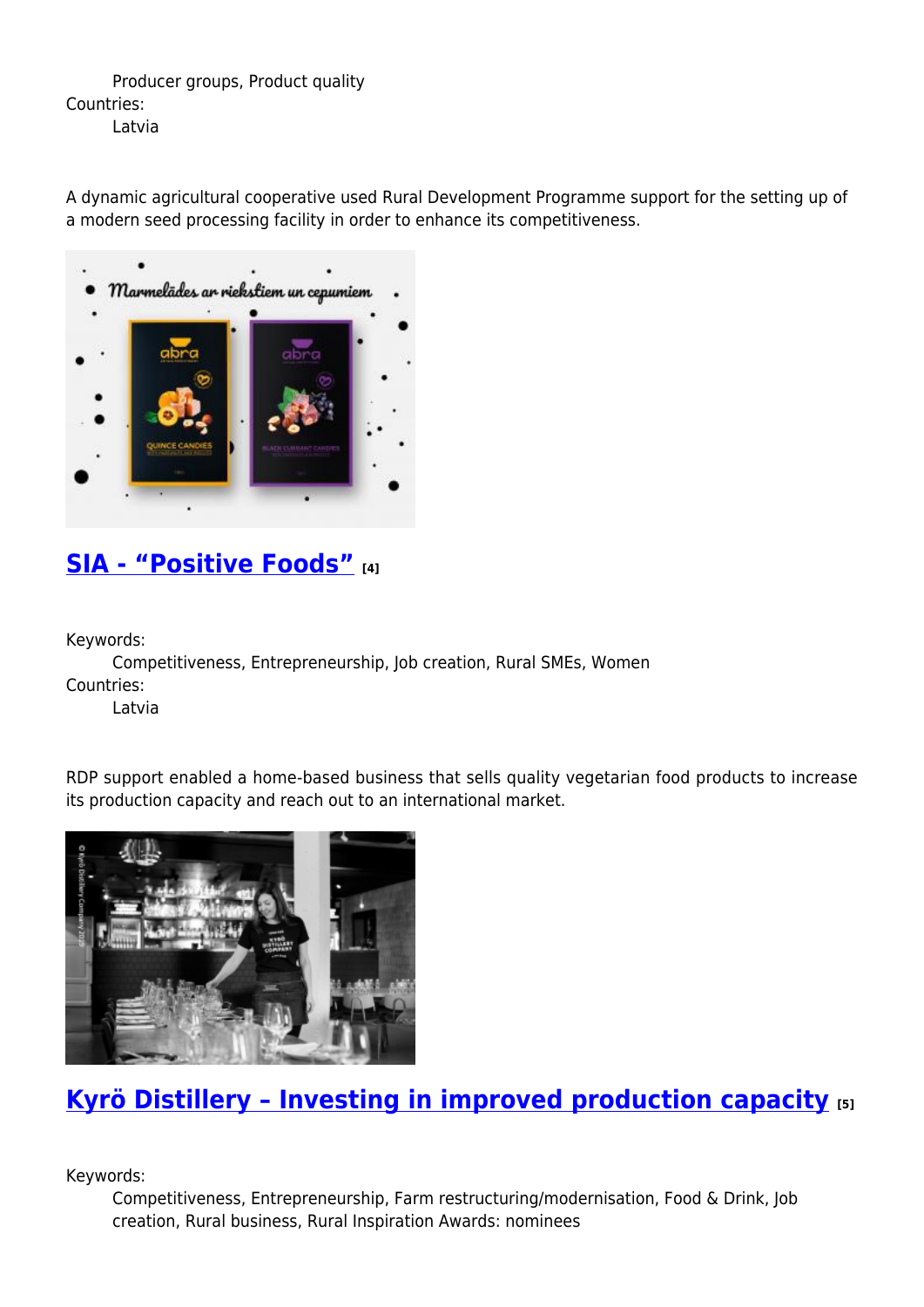Producer groups, Product quality Countries: Latvia

A dynamic agricultural cooperative used Rural Development Programme support for the setting up of a modern seed processing facility in order to enhance its competitiveness.



### **[SIA - "Positive Foods"](https://enrd.ec.europa.eu/projects-practice/sia-positive-foods_en) [4]**

Keywords:

Competitiveness, Entrepreneurship, Job creation, Rural SMEs, Women Countries:

Latvia

RDP support enabled a home-based business that sells quality vegetarian food products to increase its production capacity and reach out to an international market.



# **[Kyrö Distillery – Investing in improved production capacity](https://enrd.ec.europa.eu/projects-practice/kyro-distillery-investing-improved-production-capacity_en) [5]**

Keywords:

Competitiveness, Entrepreneurship, Farm restructuring/modernisation, Food & Drink, Job creation, Rural business, Rural Inspiration Awards: nominees